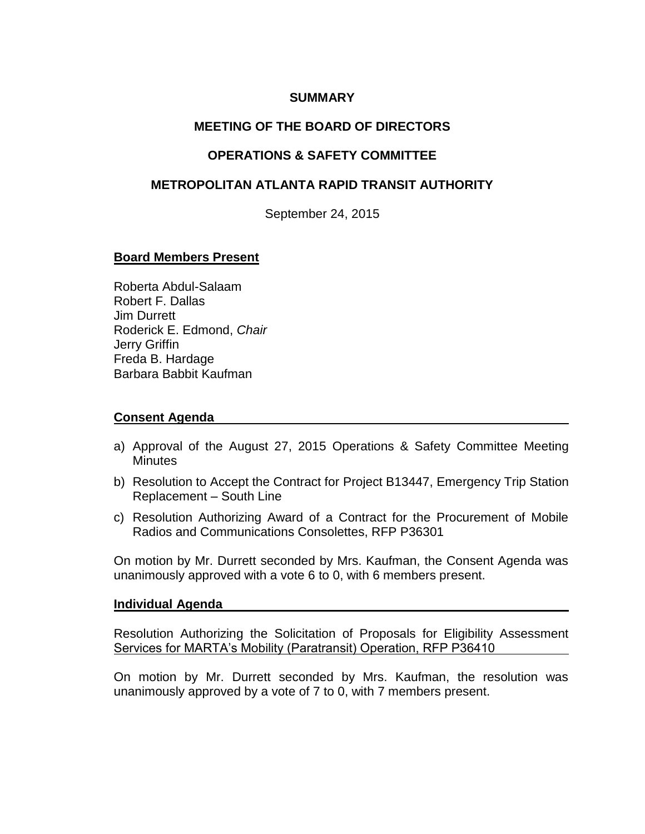## **SUMMARY**

# **MEETING OF THE BOARD OF DIRECTORS**

## **OPERATIONS & SAFETY COMMITTEE**

## **METROPOLITAN ATLANTA RAPID TRANSIT AUTHORITY**

September 24, 2015

#### **Board Members Present**

Roberta Abdul-Salaam Robert F. Dallas Jim Durrett Roderick E. Edmond, *Chair*  Jerry Griffin Freda B. Hardage Barbara Babbit Kaufman

#### **Consent Agenda**

- a) Approval of the August 27, 2015 Operations & Safety Committee Meeting **Minutes**
- b) Resolution to Accept the Contract for Project B13447, Emergency Trip Station Replacement – South Line
- c) Resolution Authorizing Award of a Contract for the Procurement of Mobile Radios and Communications Consolettes, RFP P36301

On motion by Mr. Durrett seconded by Mrs. Kaufman, the Consent Agenda was unanimously approved with a vote 6 to 0, with 6 members present.

#### **Individual Agenda**

Resolution Authorizing the Solicitation of Proposals for Eligibility Assessment Services for MARTA's Mobility (Paratransit) Operation, RFP P36410

On motion by Mr. Durrett seconded by Mrs. Kaufman, the resolution was unanimously approved by a vote of 7 to 0, with 7 members present.